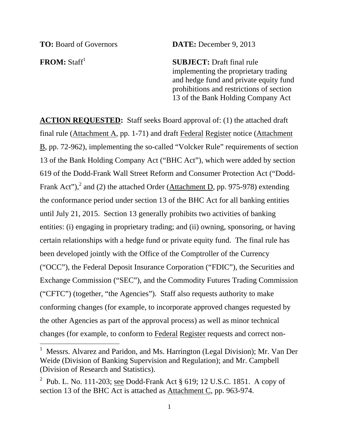$\overline{a}$ 

**TO:** Board of Governors **DATE:** December 9, 2013

**FROM:** Staff<sup>1</sup> SUBJECT: Draft final rule implementing the proprietary trading and hedge fund and private equity fund prohibitions and restrictions of section 13 of the Bank Holding Company Act

**ACTION REQUESTED:** Staff seeks Board approval of: (1) the attached draft final rule (Attachment A, pp. 1-71) and draft Federal Register notice (Attachment B, pp. 72-962), implementing the so-called "Volcker Rule" requirements of section 13 of the Bank Holding Company Act ("BHC Act"), which were added by section 619 of the Dodd-Frank Wall Street Reform and Consumer Protection Act ("Dodd-Frank Act"),<sup>2</sup> and (2) the attached Order (Attachment D, pp. 975-978) extending the conformance period under section 13 of the BHC Act for all banking entities until July 21, 2015. Section 13 generally prohibits two activities of banking entities: (i) engaging in proprietary trading; and (ii) owning, sponsoring, or having certain relationships with a hedge fund or private equity fund. The final rule has been developed jointly with the Office of the Comptroller of the Currency ("OCC"), the Federal Deposit Insurance Corporation ("FDIC"), the Securities and Exchange Commission ("SEC"), and the Commodity Futures Trading Commission ("CFTC") (together, "the Agencies"). Staff also requests authority to make conforming changes (for example, to incorporate approved changes requested by the other Agencies as part of the approval process) as well as minor technical changes (for example, to conform to Federal Register requests and correct non-

<sup>&</sup>lt;sup>1</sup> Messrs. Alvarez and Paridon, and Ms. Harrington (Legal Division); Mr. Van Der Weide (Division of Banking Supervision and Regulation); and Mr. Campbell (Division of Research and Statistics).

<sup>&</sup>lt;sup>2</sup> Pub. L. No. 111-203; see Dodd-Frank Act  $\S 619$ ; 12 U.S.C. 1851. A copy of section 13 of the BHC Act is attached as Attachment C, pp. 963-974.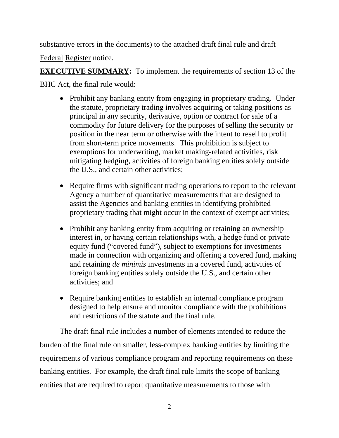substantive errors in the documents) to the attached draft final rule and draft

Federal Register notice.

**EXECUTIVE SUMMARY:** To implement the requirements of section 13 of the

BHC Act, the final rule would:

- Prohibit any banking entity from engaging in proprietary trading. Under the statute, proprietary trading involves acquiring or taking positions as principal in any security, derivative, option or contract for sale of a commodity for future delivery for the purposes of selling the security or position in the near term or otherwise with the intent to resell to profit from short-term price movements. This prohibition is subject to exemptions for underwriting, market making-related activities, risk mitigating hedging, activities of foreign banking entities solely outside the U.S., and certain other activities;
- •Require firms with significant trading operations to report to the relevant Agency a number of quantitative measurements that are designed to assist the Agencies and banking entities in identifying prohibited proprietary trading that might occur in the context of exempt activities;
- Prohibit any banking entity from acquiring or retaining an ownership interest in, or having certain relationships with, a hedge fund or private equity fund ("covered fund"), subject to exemptions for investments made in connection with organizing and offering a covered fund, making and retaining *de minimis* investments in a covered fund, activities of foreign banking entities solely outside the U.S., and certain other activities; and
- •Require banking entities to establish an internal compliance program designed to help ensure and monitor compliance with the prohibitions and restrictions of the statute and the final rule.

The draft final rule includes a number of elements intended to reduce the burden of the final rule on smaller, less-complex banking entities by limiting the requirements of various compliance program and reporting requirements on these banking entities. For example, the draft final rule limits the scope of banking entities that are required to report quantitative measurements to those with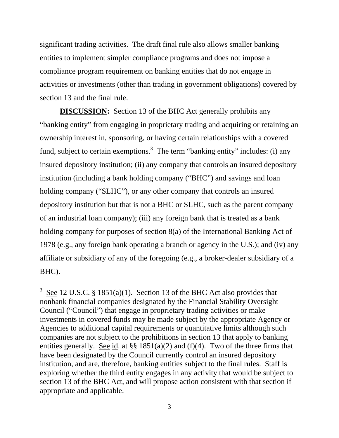significant trading activities. The draft final rule also allows smaller banking entities to implement simpler compliance programs and does not impose a compliance program requirement on banking entities that do not engage in activities or investments (other than trading in government obligations) covered by section 13 and the final rule.

**DISCUSSION:** Section 13 of the BHC Act generally prohibits any "banking entity" from engaging in proprietary trading and acquiring or retaining an ownership interest in, sponsoring, or having certain relationships with a covered fund, subject to certain exemptions.<sup>3</sup> The term "banking entity" includes: (i) any insured depository institution; (ii) any company that controls an insured depository institution (including a bank holding company ("BHC") and savings and loan holding company ("SLHC"), or any other company that controls an insured depository institution but that is not a BHC or SLHC, such as the parent company of an industrial loan company); (iii) any foreign bank that is treated as a bank holding company for purposes of section 8(a) of the International Banking Act of 1978 (e.g., any foreign bank operating a branch or agency in the U.S.); and (iv) any affiliate or subsidiary of any of the foregoing (e.g., a broker-dealer subsidiary of a BHC).

<sup>&</sup>lt;sup>3</sup> See 12 U.S.C. § 1851(a)(1). Section 13 of the BHC Act also provides that nonbank financial companies designated by the Financial Stability Oversight Council ("Council") that engage in proprietary trading activities or make investments in covered funds may be made subject by the appropriate Agency or Agencies to additional capital requirements or quantitative limits although such companies are not subject to the prohibitions in section 13 that apply to banking entities generally. See id. at  $\S$  1851(a)(2) and (f)(4). Two of the three firms that have been designated by the Council currently control an insured depository institution, and are, therefore, banking entities subject to the final rules. Staff is exploring whether the third entity engages in any activity that would be subject to section 13 of the BHC Act, and will propose action consistent with that section if appropriate and applicable.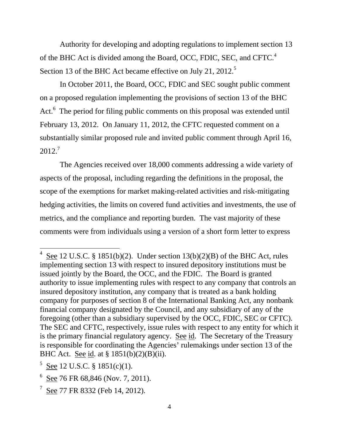of the BHC Act is divided among the Board, OCC, FDIC, SEC, and CFTC. $<sup>4</sup>$ </sup> Authority for developing and adopting regulations to implement section 13 Section 13 of the BHC Act became effective on July 21, 2012.<sup>5</sup>

In October 2011, the Board, OCC, FDIC and SEC sought public comment on a proposed regulation implementing the provisions of section 13 of the BHC Act.<sup>6</sup> The period for filing public comments on this proposal was extended until February 13, 2012. On January 11, 2012, the CFTC requested comment on a substantially similar proposed rule and invited public comment through April 16, 2012<sup>7</sup>

The Agencies received over 18,000 comments addressing a wide variety of aspects of the proposal, including regarding the definitions in the proposal, the scope of the exemptions for market making-related activities and risk-mitigating hedging activities, the limits on covered fund activities and investments, the use of metrics, and the compliance and reporting burden. The vast majority of these comments were from individuals using a version of a short form letter to express

See 12 U.S.C. § 1851(b)(2). Under section  $13(b)(2)(B)$  of the BHC Act, rules implementing section 13 with respect to insured depository institutions must be issued jointly by the Board, the OCC, and the FDIC. The Board is granted authority to issue implementing rules with respect to any company that controls an insured depository institution, any company that is treated as a bank holding company for purposes of section 8 of the International Banking Act, any nonbank financial company designated by the Council, and any subsidiary of any of the foregoing (other than a subsidiary supervised by the OCC, FDIC, SEC or CFTC). The SEC and CFTC, respectively, issue rules with respect to any entity for which it is the primary financial regulatory agency. See id. The Secretary of the Treasury is responsible for coordinating the Agencies' rulemakings under section 13 of the BHC Act. See id. at § 1851(b)(2)(B)(ii).

 $5$  See 12 U.S.C. § 1851(c)(1).

 $6$  See 76 FR 68,846 (Nov. 7, 2011).

 $7 \text{ See } 77 \text{ FR } 8332 \text{ (Feb } 14, 2012).$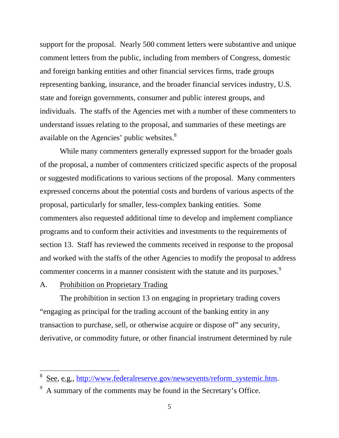available on the Agencies' public websites. $8<sup>8</sup>$ support for the proposal. Nearly 500 comment letters were substantive and unique comment letters from the public, including from members of Congress, domestic and foreign banking entities and other financial services firms, trade groups representing banking, insurance, and the broader financial services industry, U.S. state and foreign governments, consumer and public interest groups, and individuals. The staffs of the Agencies met with a number of these commenters to understand issues relating to the proposal, and summaries of these meetings are

While many commenters generally expressed support for the broader goals of the proposal, a number of commenters criticized specific aspects of the proposal or suggested modifications to various sections of the proposal. Many commenters expressed concerns about the potential costs and burdens of various aspects of the proposal, particularly for smaller, less-complex banking entities. Some commenters also requested additional time to develop and implement compliance programs and to conform their activities and investments to the requirements of section 13. Staff has reviewed the comments received in response to the proposal and worked with the staffs of the other Agencies to modify the proposal to address commenter concerns in a manner consistent with the statute and its purposes.<sup>9</sup>

#### A. Prohibition on Proprietary Trading

 $\overline{a}$ 

The prohibition in section 13 on engaging in proprietary trading covers "engaging as principal for the trading account of the banking entity in any transaction to purchase, sell, or otherwise acquire or dispose of" any security, derivative, or commodity future, or other financial instrument determined by rule

<sup>8</sup> See, e.g., http://www.federalreserve.gov/newsevents/reform\_systemic.htm.

<sup>9</sup> A summary of the comments may be found in the Secretary's Office.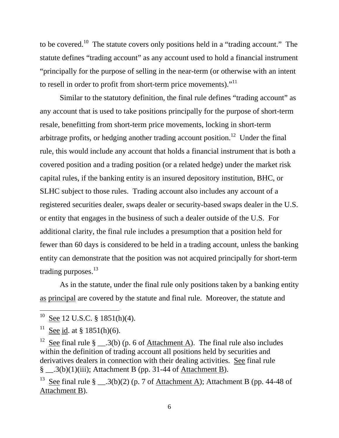to be covered.10 The statute covers only positions held in a "trading account." The statute defines "trading account" as any account used to hold a financial instrument "principally for the purpose of selling in the near-term (or otherwise with an intent to resell in order to profit from short-term price movements)."<sup>11</sup>

trading purposes. $13$ Similar to the statutory definition, the final rule defines "trading account" as any account that is used to take positions principally for the purpose of short-term resale, benefitting from short-term price movements, locking in short-term arbitrage profits, or hedging another trading account position.<sup>12</sup> Under the final rule, this would include any account that holds a financial instrument that is both a covered position and a trading position (or a related hedge) under the market risk capital rules, if the banking entity is an insured depository institution, BHC, or SLHC subject to those rules. Trading account also includes any account of a registered securities dealer, swaps dealer or security-based swaps dealer in the U.S. or entity that engages in the business of such a dealer outside of the U.S. For additional clarity, the final rule includes a presumption that a position held for fewer than 60 days is considered to be held in a trading account, unless the banking entity can demonstrate that the position was not acquired principally for short-term

As in the statute, under the final rule only positions taken by a banking entity as principal are covered by the statute and final rule. Moreover, the statute and

 $\overline{a}$ 

<sup>12</sup> See final rule § \_\_.3(b) (p. 6 of <u>Attachment</u> A). The final rule also includes within the definition of trading account all positions held by securities and derivatives dealers in connection with their dealing activities. See final rule  $\S$  \_\_.3(b)(1)(iii); Attachment B (pp. 31-44 of Attachment B).

<sup>13</sup> See final rule § \_\_.3(b)(2) (p. 7 of <u>Attachment A</u>); Attachment B (pp. 44-48 of Attachment B).

 $10$  See 12 U.S.C. § 1851(h)(4).

See id. at  $§$  1851(h)(6).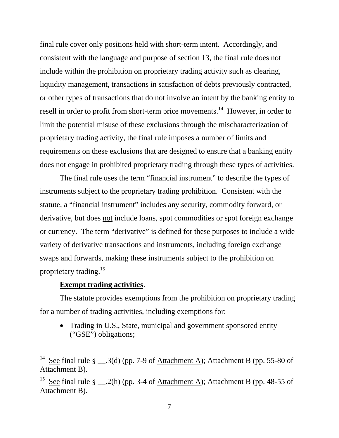final rule cover only positions held with short-term intent. Accordingly, and consistent with the language and purpose of section 13, the final rule does not include within the prohibition on proprietary trading activity such as clearing, liquidity management, transactions in satisfaction of debts previously contracted, or other types of transactions that do not involve an intent by the banking entity to resell in order to profit from short-term price movements.<sup>14</sup> However, in order to limit the potential misuse of these exclusions through the mischaracterization of proprietary trading activity, the final rule imposes a number of limits and requirements on these exclusions that are designed to ensure that a banking entity does not engage in prohibited proprietary trading through these types of activities.

proprietary trading.<sup>15</sup> The final rule uses the term "financial instrument" to describe the types of instruments subject to the proprietary trading prohibition. Consistent with the statute, a "financial instrument" includes any security, commodity forward, or derivative, but does <u>not</u> include loans, spot commodities or spot foreign exchange or currency. The term "derivative" is defined for these purposes to include a wide variety of derivative transactions and instruments, including foreign exchange swaps and forwards, making these instruments subject to the prohibition on

## **Exempt trading activities**.

 $\overline{a}$ 

The statute provides exemptions from the prohibition on proprietary trading for a number of trading activities, including exemptions for:

• Trading in U.S., State, municipal and government sponsored entity ("GSE") obligations;

<sup>&</sup>lt;sup>14</sup> See final rule § \_\_.3(d) (pp. 7-9 of <u>Attachment A</u>); Attachment B (pp. 55-80 of Attachment B).

<sup>&</sup>lt;sup>15</sup> See final rule § \_\_.2(h) (pp. 3-4 of <u>Attachment A</u>); Attachment B (pp. 48-55 of Attachment B).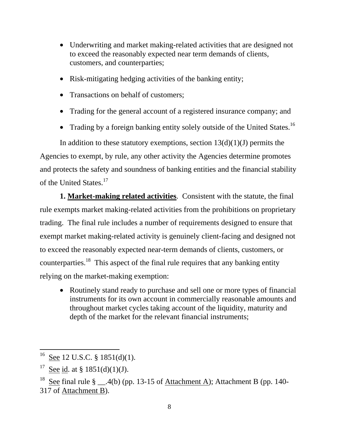- •Underwriting and market making-related activities that are designed not to exceed the reasonably expected near term demands of clients, customers, and counterparties;
- •Risk-mitigating hedging activities of the banking entity;
- Transactions on behalf of customers;
- •Trading for the general account of a registered insurance company; and
- Trading by a foreign banking entity solely outside of the United States.<sup>16</sup>

In addition to these statutory exemptions, section  $13(d)(1)(J)$  permits the Agencies to exempt, by rule, any other activity the Agencies determine promotes and protects the safety and soundness of banking entities and the financial stability of the United States.<sup>17</sup>

**1. Market-making related activities**. Consistent with the statute, the final rule exempts market making-related activities from the prohibitions on proprietary trading. The final rule includes a number of requirements designed to ensure that exempt market making-related activity is genuinely client-facing and designed not to exceed the reasonably expected near-term demands of clients, customers, or counterparties.18 This aspect of the final rule requires that any banking entity relying on the market-making exemption:

 •Routinely stand ready to purchase and sell one or more types of financial instruments for its own account in commercially reasonable amounts and throughout market cycles taking account of the liquidity, maturity and depth of the market for the relevant financial instruments;

 $^{16}$  See 12 U.S.C. § 1851(d)(1).

<sup>&</sup>lt;sup>17</sup> See id. at § 1851(d)(1)(J).

<sup>&</sup>lt;sup>18</sup> See final rule § \_\_.4(b) (pp. 13-15 of Attachment A); Attachment B (pp. 140-317 of Attachment B).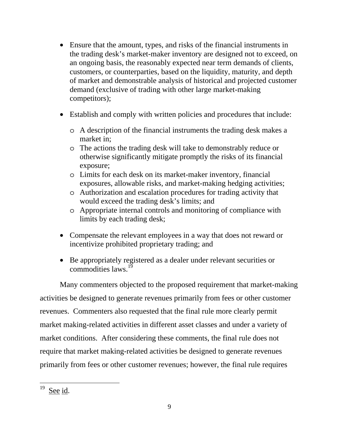- •Ensure that the amount, types, and risks of the financial instruments in the trading desk's market-maker inventory are designed not to exceed, on an ongoing basis, the reasonably expected near term demands of clients, customers, or counterparties, based on the liquidity, maturity, and depth of market and demonstrable analysis of historical and projected customer demand (exclusive of trading with other large market-making competitors);
- •Establish and comply with written policies and procedures that include:
	- oA description of the financial instruments the trading desk makes a market in;
	- oThe actions the trading desk will take to demonstrably reduce or otherwise significantly mitigate promptly the risks of its financial exposure;
	- oLimits for each desk on its market-maker inventory, financial exposures, allowable risks, and market-making hedging activities;
	- oAuthorization and escalation procedures for trading activity that would exceed the trading desk's limits; and
	- oAppropriate internal controls and monitoring of compliance with limits by each trading desk;
- •Compensate the relevant employees in a way that does not reward or incentivize prohibited proprietary trading; and
- •Be appropriately registered as a dealer under relevant securities or commodities laws. $1\frac{1}{2}$

Many commenters objected to the proposed requirement that market-making activities be designed to generate revenues primarily from fees or other customer revenues. Commenters also requested that the final rule more clearly permit market making-related activities in different asset classes and under a variety of market conditions. After considering these comments, the final rule does not require that market making-related activities be designed to generate revenues primarily from fees or other customer revenues; however, the final rule requires

 $19$  See id.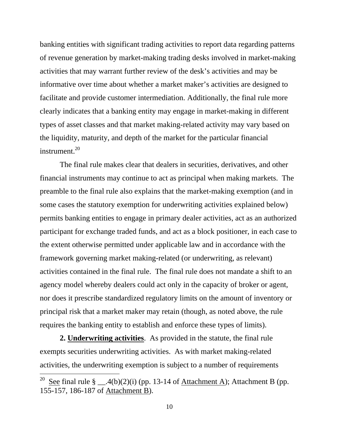facilitate and provide customer intermediation. Additionally, the final rule more banking entities with significant trading activities to report data regarding patterns of revenue generation by market-making trading desks involved in market-making activities that may warrant further review of the desk's activities and may be informative over time about whether a market maker's activities are designed to clearly indicates that a banking entity may engage in market-making in different types of asset classes and that market making-related activity may vary based on the liquidity, maturity, and depth of the market for the particular financial instrument.<sup>20</sup>

The final rule makes clear that dealers in securities, derivatives, and other financial instruments may continue to act as principal when making markets. The preamble to the final rule also explains that the market-making exemption (and in some cases the statutory exemption for underwriting activities explained below) permits banking entities to engage in primary dealer activities, act as an authorized participant for exchange traded funds, and act as a block positioner, in each case to the extent otherwise permitted under applicable law and in accordance with the framework governing market making-related (or underwriting, as relevant) activities contained in the final rule. The final rule does not mandate a shift to an agency model whereby dealers could act only in the capacity of broker or agent, nor does it prescribe standardized regulatory limits on the amount of inventory or principal risk that a market maker may retain (though, as noted above, the rule requires the banking entity to establish and enforce these types of limits).

**2. Underwriting activities**. As provided in the statute, the final rule exempts securities underwriting activities. As with market making-related activities, the underwriting exemption is subject to a number of requirements

<sup>&</sup>lt;sup>20</sup> See final rule § \_\_.4(b)(2)(i) (pp. 13-14 of <u>Attachment A</u>); Attachment B (pp. 155-157, 186-187 of Attachment B).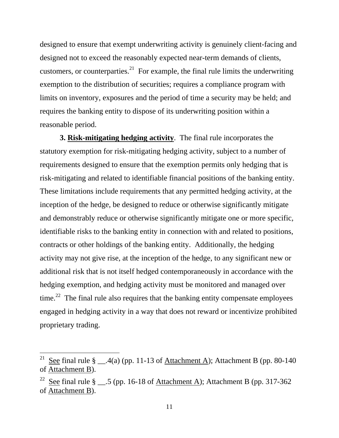designed to ensure that exempt underwriting activity is genuinely client-facing and designed not to exceed the reasonably expected near-term demands of clients, customers, or counterparties.<sup>21</sup> For example, the final rule limits the underwriting exemption to the distribution of securities; requires a compliance program with limits on inventory, exposures and the period of time a security may be held; and requires the banking entity to dispose of its underwriting position within a reasonable period.

**3. Risk-mitigating hedging activity**. The final rule incorporates the statutory exemption for risk-mitigating hedging activity, subject to a number of requirements designed to ensure that the exemption permits only hedging that is risk-mitigating and related to identifiable financial positions of the banking entity. These limitations include requirements that any permitted hedging activity, at the inception of the hedge, be designed to reduce or otherwise significantly mitigate and demonstrably reduce or otherwise significantly mitigate one or more specific, identifiable risks to the banking entity in connection with and related to positions, contracts or other holdings of the banking entity. Additionally, the hedging activity may not give rise, at the inception of the hedge, to any significant new or additional risk that is not itself hedged contemporaneously in accordance with the hedging exemption, and hedging activity must be monitored and managed over time.<sup>22</sup> The final rule also requires that the banking entity compensate employees engaged in hedging activity in a way that does not reward or incentivize prohibited proprietary trading.

<sup>&</sup>lt;sup>21</sup> See final rule § \_\_.4(a) (pp. 11-13 of <u>Attachment A</u>); Attachment B (pp. 80-140 of Attachment B).

<sup>&</sup>lt;sup>22</sup> See final rule § \_\_.5 (pp. 16-18 of <u>Attachment A</u>); Attachment B (pp. 317-362 of Attachment B).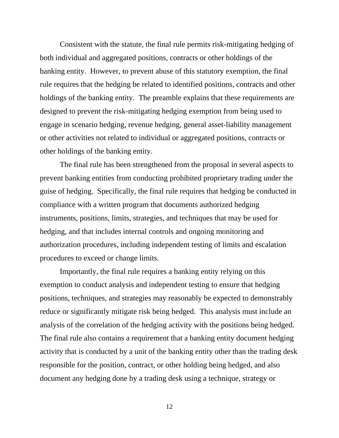Consistent with the statute, the final rule permits risk-mitigating hedging of both individual and aggregated positions, contracts or other holdings of the banking entity. However, to prevent abuse of this statutory exemption, the final rule requires that the hedging be related to identified positions, contracts and other holdings of the banking entity. The preamble explains that these requirements are designed to prevent the risk-mitigating hedging exemption from being used to engage in scenario hedging, revenue hedging, general asset-liability management or other activities not related to individual or aggregated positions, contracts or other holdings of the banking entity.

The final rule has been strengthened from the proposal in several aspects to prevent banking entities from conducting prohibited proprietary trading under the guise of hedging. Specifically, the final rule requires that hedging be conducted in compliance with a written program that documents authorized hedging instruments, positions, limits, strategies, and techniques that may be used for hedging, and that includes internal controls and ongoing monitoring and authorization procedures, including independent testing of limits and escalation procedures to exceed or change limits.

Importantly, the final rule requires a banking entity relying on this exemption to conduct analysis and independent testing to ensure that hedging positions, techniques, and strategies may reasonably be expected to demonstrably reduce or significantly mitigate risk being hedged. This analysis must include an analysis of the correlation of the hedging activity with the positions being hedged. The final rule also contains a requirement that a banking entity document hedging activity that is conducted by a unit of the banking entity other than the trading desk responsible for the position, contract, or other holding being hedged, and also document any hedging done by a trading desk using a technique, strategy or

12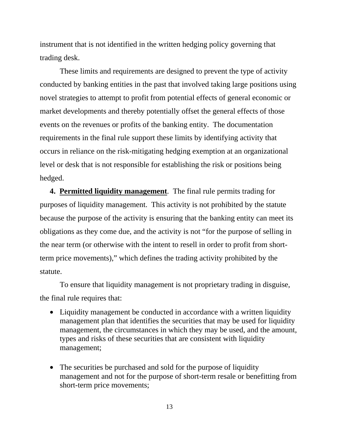instrument that is not identified in the written hedging policy governing that trading desk.

These limits and requirements are designed to prevent the type of activity conducted by banking entities in the past that involved taking large positions using novel strategies to attempt to profit from potential effects of general economic or market developments and thereby potentially offset the general effects of those events on the revenues or profits of the banking entity. The documentation requirements in the final rule support these limits by identifying activity that occurs in reliance on the risk-mitigating hedging exemption at an organizational level or desk that is not responsible for establishing the risk or positions being hedged.

 **4. Permitted liquidity management**. The final rule permits trading for purposes of liquidity management. This activity is not prohibited by the statute because the purpose of the activity is ensuring that the banking entity can meet its obligations as they come due, and the activity is not "for the purpose of selling in the near term (or otherwise with the intent to resell in order to profit from shortterm price movements)," which defines the trading activity prohibited by the statute.

To ensure that liquidity management is not proprietary trading in disguise, the final rule requires that:

- •Liquidity management be conducted in accordance with a written liquidity management plan that identifies the securities that may be used for liquidity management, the circumstances in which they may be used, and the amount, types and risks of these securities that are consistent with liquidity management;
- The securities be purchased and sold for the purpose of liquidity management and not for the purpose of short-term resale or benefitting from short-term price movements;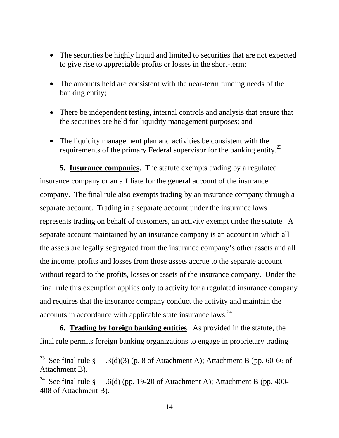- •The securities be highly liquid and limited to securities that are not expected to give rise to appreciable profits or losses in the short-term;
- •The amounts held are consistent with the near-term funding needs of the banking entity;
- •There be independent testing, internal controls and analysis that ensure that the securities are held for liquidity management purposes; and
- •The liquidity management plan and activities be consistent with the requirements of the primary Federal supervisor for the banking entity.<sup>23</sup>

5. **Insurance companies**. The statute exempts trading by a regulated insurance company or an affiliate for the general account of the insurance company. The final rule also exempts trading by an insurance company through a separate account. Trading in a separate account under the insurance laws represents trading on behalf of customers, an activity exempt under the statute. A separate account maintained by an insurance company is an account in which all the assets are legally segregated from the insurance company's other assets and all the income, profits and losses from those assets accrue to the separate account without regard to the profits, losses or assets of the insurance company. Under the final rule this exemption applies only to activity for a regulated insurance company and requires that the insurance company conduct the activity and maintain the accounts in accordance with applicable state insurance laws.<sup>24</sup>

**6. Trading by foreign banking entities**. As provided in the statute, the final rule permits foreign banking organizations to engage in proprietary trading

<sup>&</sup>lt;sup>23</sup> See final rule § \_\_.3(d)(3) (p. 8 of <u>Attachment A</u>); Attachment B (pp. 60-66 of Attachment B).

<sup>&</sup>lt;sup>24</sup> See final rule § \_\_.6(d) (pp. 19-20 of <u>Attachment A</u>); Attachment B (pp. 400-408 of Attachment B).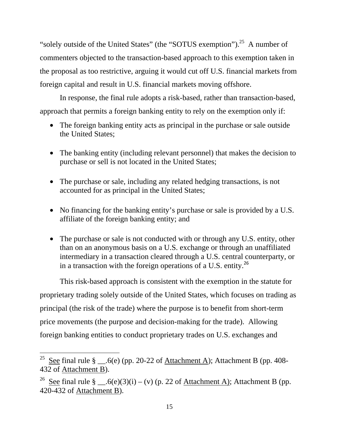"solely outside of the United States" (the "SOTUS exemption").<sup>25</sup> A number of commenters objected to the transaction-based approach to this exemption taken in the proposal as too restrictive, arguing it would cut off U.S. financial markets from foreign capital and result in U.S. financial markets moving offshore.

In response, the final rule adopts a risk-based, rather than transaction-based, approach that permits a foreign banking entity to rely on the exemption only if:

- •The foreign banking entity acts as principal in the purchase or sale outside the United States;
- •The banking entity (including relevant personnel) that makes the decision to purchase or sell is not located in the United States;
- •The purchase or sale, including any related hedging transactions, is not accounted for as principal in the United States;
- No financing for the banking entity's purchase or sale is provided by a U.S. affiliate of the foreign banking entity; and
- The purchase or sale is not conducted with or through any U.S. entity, other than on an anonymous basis on a U.S. exchange or through an unaffiliated intermediary in a transaction cleared through a U.S. central counterparty, or in a transaction with the foreign operations of a U.S. entity.<sup>26</sup>

This risk-based approach is consistent with the exemption in the statute for proprietary trading solely outside of the United States, which focuses on trading as principal (the risk of the trade) where the purpose is to benefit from short-term price movements (the purpose and decision-making for the trade). Allowing foreign banking entities to conduct proprietary trades on U.S. exchanges and

<sup>&</sup>lt;sup>25</sup> See final rule § \_\_.6(e) (pp. 20-22 of <u>Attachment A</u>); Attachment B (pp. 408-432 of Attachment B).

<sup>&</sup>lt;sup>26</sup> See final rule § \_\_.6(e)(3)(i) – (v) (p. 22 of <u>Attachment A)</u>; Attachment B (pp. 420-432 of Attachment B).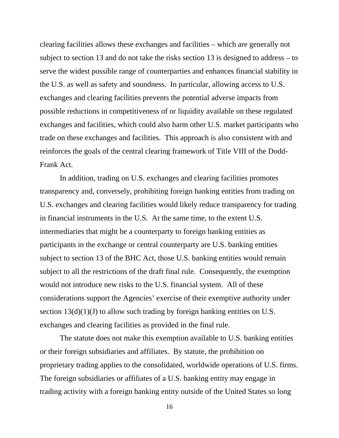clearing facilities allows these exchanges and facilities – which are generally not subject to section 13 and do not take the risks section 13 is designed to address – to serve the widest possible range of counterparties and enhances financial stability in the U.S. as well as safety and soundness. In particular, allowing access to U.S. exchanges and clearing facilities prevents the potential adverse impacts from possible reductions in competitiveness of or liquidity available on these regulated exchanges and facilities, which could also harm other U.S. market participants who trade on these exchanges and facilities. This approach is also consistent with and reinforces the goals of the central clearing framework of Title VIII of the Dodd-Frank Act.

In addition, trading on U.S. exchanges and clearing facilities promotes transparency and, conversely, prohibiting foreign banking entities from trading on U.S. exchanges and clearing facilities would likely reduce transparency for trading in financial instruments in the U.S. At the same time, to the extent U.S. intermediaries that might be a counterparty to foreign banking entities as participants in the exchange or central counterparty are U.S. banking entities subject to section 13 of the BHC Act, those U.S. banking entities would remain subject to all the restrictions of the draft final rule. Consequently, the exemption would not introduce new risks to the U.S. financial system. All of these considerations support the Agencies' exercise of their exemptive authority under section  $13(d)(1)(J)$  to allow such trading by foreign banking entities on U.S. exchanges and clearing facilities as provided in the final rule.

The statute does not make this exemption available to U.S. banking entities or their foreign subsidiaries and affiliates. By statute, the prohibition on proprietary trading applies to the consolidated, worldwide operations of U.S. firms. The foreign subsidiaries or affiliates of a U.S. banking entity may engage in trading activity with a foreign banking entity outside of the United States so long

16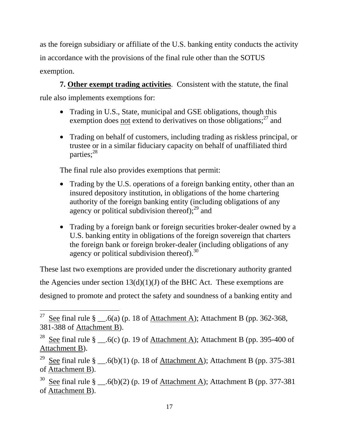as the foreign subsidiary or affiliate of the U.S. banking entity conducts the activity in accordance with the provisions of the final rule other than the SOTUS exemption.

**7. Other exempt trading activities**. Consistent with the statute, the final rule also implements exemptions for:

- Trading in U.S., State, municipal and GSE obligations, though this exemption does not extend to derivatives on those obligations; $^{27}$  and
- •Trading on behalf of customers, including trading as riskless principal, or trustee or in a similar fiduciary capacity on behalf of unaffiliated third parties;<sup>28</sup>

The final rule also provides exemptions that permit:

- Trading by the U.S. operations of a foreign banking entity, other than an insured depository institution, in obligations of the home chartering authority of the foreign banking entity (including obligations of any agency or political subdivision thereof); $29$  and
- •Trading by a foreign bank or foreign securities broker-dealer owned by a U.S. banking entity in obligations of the foreign sovereign that charters the foreign bank or foreign broker-dealer (including obligations of any agency or political subdivision thereof). $30$

These last two exemptions are provided under the discretionary authority granted the Agencies under section  $13(d)(1)(J)$  of the BHC Act. These exemptions are designed to promote and protect the safety and soundness of a banking entity and

<sup>&</sup>lt;sup>27</sup> See final rule § \_\_.6(a) (p. 18 of <u>Attachment A</u>); Attachment B (pp. 362-368, 381-388 of Attachment B).

<sup>&</sup>lt;sup>28</sup> See final rule § \_\_.6(c) (p. 19 of <u>Attachment A</u>); Attachment B (pp. 395-400 of Attachment B).

<sup>&</sup>lt;sup>29</sup> See final rule § \_\_.6(b)(1) (p. 18 of <u>Attachment A</u>); Attachment B (pp. 375-381 of Attachment B).

<sup>&</sup>lt;sup>30</sup> See final rule § \_\_.6(b)(2) (p. 19 of Attachment A); Attachment B (pp. 377-381) of Attachment B).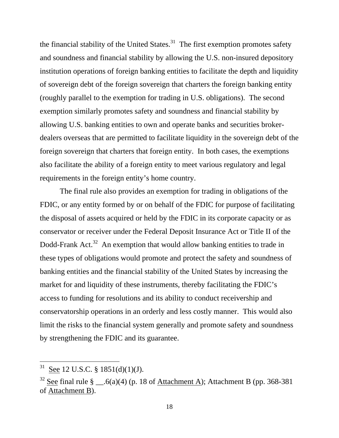the financial stability of the United States.<sup>31</sup> The first exemption promotes safety and soundness and financial stability by allowing the U.S. non-insured depository institution operations of foreign banking entities to facilitate the depth and liquidity of sovereign debt of the foreign sovereign that charters the foreign banking entity (roughly parallel to the exemption for trading in U.S. obligations). The second exemption similarly promotes safety and soundness and financial stability by allowing U.S. banking entities to own and operate banks and securities brokerdealers overseas that are permitted to facilitate liquidity in the sovereign debt of the foreign sovereign that charters that foreign entity. In both cases, the exemptions also facilitate the ability of a foreign entity to meet various regulatory and legal requirements in the foreign entity's home country.

The final rule also provides an exemption for trading in obligations of the FDIC, or any entity formed by or on behalf of the FDIC for purpose of facilitating the disposal of assets acquired or held by the FDIC in its corporate capacity or as conservator or receiver under the Federal Deposit Insurance Act or Title II of the Dodd-Frank Act.<sup>32</sup> An exemption that would allow banking entities to trade in these types of obligations would promote and protect the safety and soundness of banking entities and the financial stability of the United States by increasing the market for and liquidity of these instruments, thereby facilitating the FDIC's access to funding for resolutions and its ability to conduct receivership and conservatorship operations in an orderly and less costly manner. This would also limit the risks to the financial system generally and promote safety and soundness by strengthening the FDIC and its guarantee.

 $31$  See 12 U.S.C. § 1851(d)(1)(J).

<sup>&</sup>lt;sup>32</sup> See final rule § \_\_.6(a)(4) (p. 18 of Attachment A); Attachment B (pp. 368-381) of Attachment B).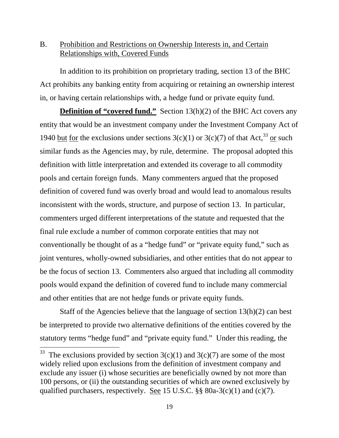# B. Prohibition and Restrictions on Ownership Interests in, and Certain Relationships with, Covered Funds

In addition to its prohibition on proprietary trading, section 13 of the BHC Act prohibits any banking entity from acquiring or retaining an ownership interest in, or having certain relationships with, a hedge fund or private equity fund.

**Definition of "covered fund."** Section 13(h)(2) of the BHC Act covers any entity that would be an investment company under the Investment Company Act of 1940 but for the exclusions under sections  $3(c)(1)$  or  $3(c)(7)$  of that Act,<sup>33</sup> or such similar funds as the Agencies may, by rule, determine. The proposal adopted this definition with little interpretation and extended its coverage to all commodity pools and certain foreign funds. Many commenters argued that the proposed definition of covered fund was overly broad and would lead to anomalous results inconsistent with the words, structure, and purpose of section 13. In particular, commenters urged different interpretations of the statute and requested that the final rule exclude a number of common corporate entities that may not conventionally be thought of as a "hedge fund" or "private equity fund," such as joint ventures, wholly-owned subsidiaries, and other entities that do not appear to be the focus of section 13. Commenters also argued that including all commodity pools would expand the definition of covered fund to include many commercial and other entities that are not hedge funds or private equity funds.

Staff of the Agencies believe that the language of section 13(h)(2) can best be interpreted to provide two alternative definitions of the entities covered by the statutory terms "hedge fund" and "private equity fund." Under this reading, the

<sup>&</sup>lt;sup>33</sup> The exclusions provided by section  $3(c)(1)$  and  $3(c)(7)$  are some of the most widely relied upon exclusions from the definition of investment company and exclude any issuer (i) whose securities are beneficially owned by not more than 100 persons, or (ii) the outstanding securities of which are owned exclusively by qualified purchasers, respectively. See 15 U.S.C.  $\S$ § 80a-3(c)(1) and (c)(7).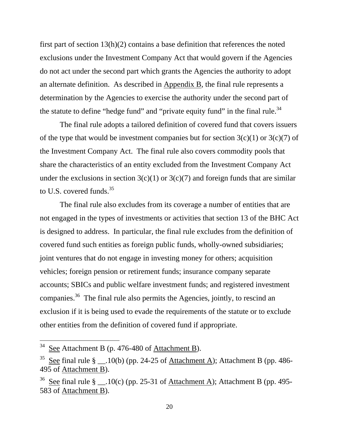the statute to define "hedge fund" and "private equity fund" in the final rule.<sup>34</sup> first part of section 13(h)(2) contains a base definition that references the noted exclusions under the Investment Company Act that would govern if the Agencies do not act under the second part which grants the Agencies the authority to adopt an alternate definition. As described in Appendix B, the final rule represents a determination by the Agencies to exercise the authority under the second part of

to U.S. covered funds. $35$ The final rule adopts a tailored definition of covered fund that covers issuers of the type that would be investment companies but for section  $3(c)(1)$  or  $3(c)(7)$  of the Investment Company Act. The final rule also covers commodity pools that share the characteristics of an entity excluded from the Investment Company Act under the exclusions in section  $3(c)(1)$  or  $3(c)(7)$  and foreign funds that are similar

The final rule also excludes from its coverage a number of entities that are not engaged in the types of investments or activities that section 13 of the BHC Act is designed to address. In particular, the final rule excludes from the definition of covered fund such entities as foreign public funds, wholly-owned subsidiaries; joint ventures that do not engage in investing money for others; acquisition vehicles; foreign pension or retirement funds; insurance company separate accounts; SBICs and public welfare investment funds; and registered investment companies.<sup>36</sup> The final rule also permits the Agencies, jointly, to rescind an exclusion if it is being used to evade the requirements of the statute or to exclude other entities from the definition of covered fund if appropriate.

 $34\,$ See Attachment B (p. 476-480 of Attachment B).

<sup>&</sup>lt;sup>35</sup> See final rule § \_\_.10(b) (pp. 24-25 of Attachment A); Attachment B (pp. 486-495 of Attachment B).

<sup>&</sup>lt;sup>36</sup> See final rule § \_\_\_.10(c) (pp. 25-31 of Attachment A); Attachment B (pp. 495-583 of Attachment B).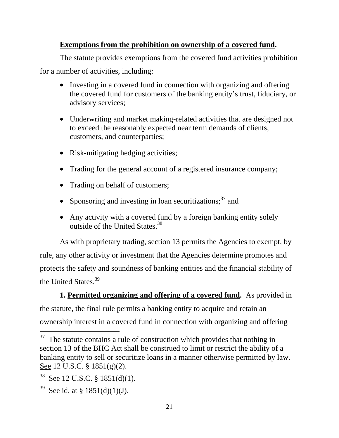# **Exemptions from the prohibition on ownership of a covered fund.**

The statute provides exemptions from the covered fund activities prohibition

for a number of activities, including:

- •Investing in a covered fund in connection with organizing and offering the covered fund for customers of the banking entity's trust, fiduciary, or advisory services;
- •Underwriting and market making-related activities that are designed not to exceed the reasonably expected near term demands of clients, customers, and counterparties;
- Risk-mitigating hedging activities;
- •Trading for the general account of a registered insurance company;
- Trading on behalf of customers;
- Sponsoring and investing in loan securitizations; $37$  and
- Any activity with a covered fund by a foreign banking entity solely outside of the United States.<sup>38</sup>

As with proprietary trading, section 13 permits the Agencies to exempt, by rule, any other activity or investment that the Agencies determine promotes and protects the safety and soundness of banking entities and the financial stability of the United States.<sup>39</sup>

**1. Permitted organizing and offering of a covered fund.** As provided in the statute, the final rule permits a banking entity to acquire and retain an ownership interest in a covered fund in connection with organizing and offering

 $37$  The statute contains a rule of construction which provides that nothing in section 13 of the BHC Act shall be construed to limit or restrict the ability of a banking entity to sell or securitize loans in a manner otherwise permitted by law. See 12 U.S.C. § 1851(g)(2).

 $38$  See 12 U.S.C. § 1851(d)(1).

<sup>&</sup>lt;sup>39</sup> See id. at § 1851(d)(1)(J).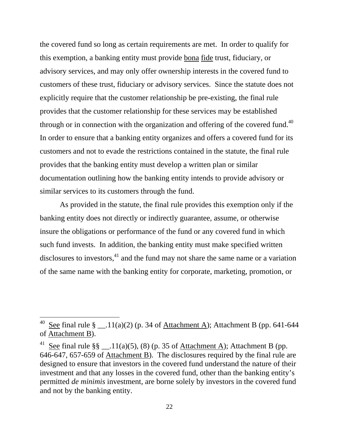through or in connection with the organization and offering of the covered fund.<sup>40</sup> the covered fund so long as certain requirements are met. In order to qualify for this exemption, a banking entity must provide bona fide trust, fiduciary, or advisory services, and may only offer ownership interests in the covered fund to customers of these trust, fiduciary or advisory services. Since the statute does not explicitly require that the customer relationship be pre-existing, the final rule provides that the customer relationship for these services may be established In order to ensure that a banking entity organizes and offers a covered fund for its customers and not to evade the restrictions contained in the statute, the final rule provides that the banking entity must develop a written plan or similar documentation outlining how the banking entity intends to provide advisory or similar services to its customers through the fund.

As provided in the statute, the final rule provides this exemption only if the banking entity does not directly or indirectly guarantee, assume, or otherwise insure the obligations or performance of the fund or any covered fund in which such fund invests. In addition, the banking entity must make specified written disclosures to investors,  $41$  and the fund may not share the same name or a variation of the same name with the banking entity for corporate, marketing, promotion, or

<sup>&</sup>lt;sup>40</sup> See final rule § \_\_.11(a)(2) (p. 34 of <u>Attachment A</u>); Attachment B (pp. 641-644 of Attachment B).

<sup>&</sup>lt;sup>41</sup> See final rule §§ \_\_.11(a)(5), (8) (p. 35 of <u>Attachment A</u>); Attachment B (pp. 646-647, 657-659 of Attachment B). The disclosures required by the final rule are designed to ensure that investors in the covered fund understand the nature of their investment and that any losses in the covered fund, other than the banking entity's permitted *de minimis* investment, are borne solely by investors in the covered fund and not by the banking entity.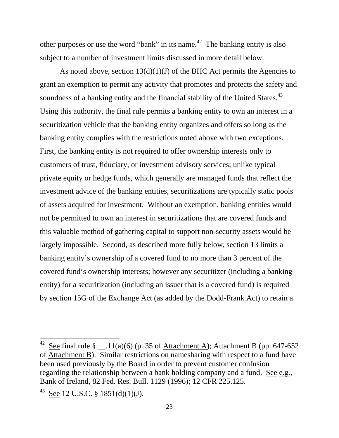other purposes or use the word "bank" in its name.<sup>42</sup> The banking entity is also subject to a number of investment limits discussed in more detail below.

soundness of a banking entity and the financial stability of the United States.<sup>43</sup> As noted above, section  $13(d)(1)(J)$  of the BHC Act permits the Agencies to grant an exemption to permit any activity that promotes and protects the safety and Using this authority, the final rule permits a banking entity to own an interest in a securitization vehicle that the banking entity organizes and offers so long as the banking entity complies with the restrictions noted above with two exceptions. First, the banking entity is not required to offer ownership interests only to customers of trust, fiduciary, or investment advisory services; unlike typical private equity or hedge funds, which generally are managed funds that reflect the investment advice of the banking entities, securitizations are typically static pools of assets acquired for investment. Without an exemption, banking entities would not be permitted to own an interest in securitizations that are covered funds and this valuable method of gathering capital to support non-security assets would be largely impossible. Second, as described more fully below, section 13 limits a banking entity's ownership of a covered fund to no more than 3 percent of the covered fund's ownership interests; however any securitizer (including a banking entity) for a securitization (including an issuer that is a covered fund) is required by section 15G of the Exchange Act (as added by the Dodd-Frank Act) to retain a

<sup>&</sup>lt;sup>42</sup> See final rule § \_\_.11(a)(6) (p. 35 of <u>Attachment A</u>); Attachment B (pp. 647-652 of Attachment B). Similar restrictions on namesharing with respect to a fund have been used previously by the Board in order to prevent customer confusion regarding the relationship between a bank holding company and a fund. See e.g., Bank of Ireland, 82 Fed. Res. Bull. 1129 (1996); 12 CFR 225.125.

<sup>&</sup>lt;sup>43</sup> See 12 U.S.C. § 1851(d)(1)(J).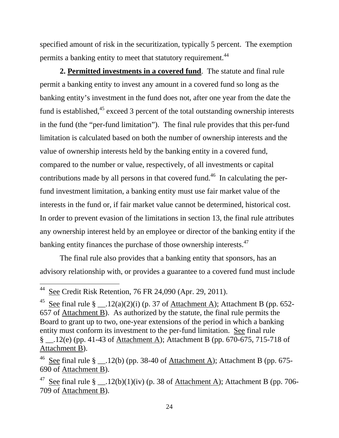permits a banking entity to meet that statutory requirement.<sup>44</sup> specified amount of risk in the securitization, typically 5 percent. The exemption

banking entity finances the purchase of those ownership interests.<sup>47</sup> **2. Permitted investments in a covered fund**. The statute and final rule permit a banking entity to invest any amount in a covered fund so long as the banking entity's investment in the fund does not, after one year from the date the fund is established, $45$  exceed 3 percent of the total outstanding ownership interests in the fund (the "per-fund limitation"). The final rule provides that this per-fund limitation is calculated based on both the number of ownership interests and the value of ownership interests held by the banking entity in a covered fund, compared to the number or value, respectively, of all investments or capital contributions made by all persons in that covered fund.<sup>46</sup> In calculating the perfund investment limitation, a banking entity must use fair market value of the interests in the fund or, if fair market value cannot be determined, historical cost. In order to prevent evasion of the limitations in section 13, the final rule attributes any ownership interest held by an employee or director of the banking entity if the

The final rule also provides that a banking entity that sponsors, has an advisory relationship with, or provides a guarantee to a covered fund must include

 $44$  See Credit Risk Retention, 76 FR 24,090 (Apr. 29, 2011).

<sup>&</sup>lt;sup>45</sup> See final rule § \_\_\_.12(a)(2)(i) (p. 37 of Attachment A); Attachment B (pp. 652-657 of Attachment B). As authorized by the statute, the final rule permits the Board to grant up to two, one-year extensions of the period in which a banking entity must conform its investment to the per-fund limitation. See final rule § \_\_.12(e) (pp. 41-43 of Attachment A); Attachment B (pp. 670-675, 715-718 of Attachment B).

<sup>&</sup>lt;sup>46</sup> See final rule § \_\_.12(b) (pp. 38-40 of <u>Attachment A</u>); Attachment B (pp. 675-690 of Attachment B).

<sup>&</sup>lt;sup>47</sup> See final rule § \_\_.12(b)(1)(iv) (p. 38 of <u>Attachment A</u>); Attachment B (pp. 706-709 of Attachment B).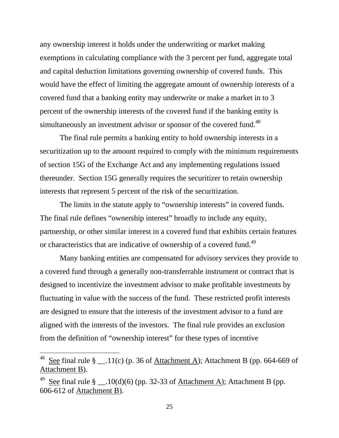any ownership interest it holds under the underwriting or market making exemptions in calculating compliance with the 3 percent per fund, aggregate total and capital deduction limitations governing ownership of covered funds. This would have the effect of limiting the aggregate amount of ownership interests of a covered fund that a banking entity may underwrite or make a market in to 3 percent of the ownership interests of the covered fund if the banking entity is simultaneously an investment advisor or sponsor of the covered fund.<sup>48</sup>

The final rule permits a banking entity to hold ownership interests in a securitization up to the amount required to comply with the minimum requirements of section 15G of the Exchange Act and any implementing regulations issued thereunder. Section 15G generally requires the securitizer to retain ownership interests that represent 5 percent of the risk of the securitization.

or characteristics that are indicative of ownership of a covered fund.<sup>49</sup> The limits in the statute apply to "ownership interests" in covered funds. The final rule defines "ownership interest" broadly to include any equity, partnership, or other similar interest in a covered fund that exhibits certain features

Many banking entities are compensated for advisory services they provide to a covered fund through a generally non-transferrable instrument or contract that is designed to incentivize the investment advisor to make profitable investments by fluctuating in value with the success of the fund. These restricted profit interests are designed to ensure that the interests of the investment advisor to a fund are aligned with the interests of the investors. The final rule provides an exclusion from the definition of "ownership interest" for these types of incentive

<sup>&</sup>lt;sup>48</sup> See final rule § \_\_.11(c) (p. 36 of <u>Attachment A</u>); Attachment B (pp. 664-669 of Attachment B).

<sup>&</sup>lt;sup>49</sup> See final rule § \_\_.10(d)(6) (pp. 32-33 of <u>Attachment A</u>); Attachment B (pp. 606-612 of Attachment B).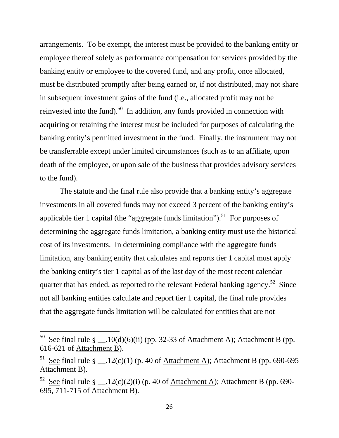arrangements. To be exempt, the interest must be provided to the banking entity or employee thereof solely as performance compensation for services provided by the banking entity or employee to the covered fund, and any profit, once allocated, must be distributed promptly after being earned or, if not distributed, may not share in subsequent investment gains of the fund (i.e., allocated profit may not be reinvested into the fund).<sup>50</sup> In addition, any funds provided in connection with acquiring or retaining the interest must be included for purposes of calculating the banking entity's permitted investment in the fund. Finally, the instrument may not be transferrable except under limited circumstances (such as to an affiliate, upon death of the employee, or upon sale of the business that provides advisory services to the fund).

The statute and the final rule also provide that a banking entity's aggregate investments in all covered funds may not exceed 3 percent of the banking entity's applicable tier 1 capital (the "aggregate funds limitation").<sup>51</sup> For purposes of determining the aggregate funds limitation, a banking entity must use the historical cost of its investments. In determining compliance with the aggregate funds limitation, any banking entity that calculates and reports tier 1 capital must apply the banking entity's tier 1 capital as of the last day of the most recent calendar quarter that has ended, as reported to the relevant Federal banking agency.<sup>52</sup> Since not all banking entities calculate and report tier 1 capital, the final rule provides that the aggregate funds limitation will be calculated for entities that are not

<sup>&</sup>lt;sup>50</sup> See final rule § \_\_\_.10(d)(6)(ii) (pp. 32-33 of Attachment A); Attachment B (pp. 616-621 of Attachment B).

<sup>&</sup>lt;sup>51</sup> See final rule § \_\_\_.12(c)(1) (p. 40 of Attachment A); Attachment B (pp. 690-695 Attachment B).

 $52$  See final rule § \_\_.12(c)(2)(i) (p. 40 of <u>Attachment A</u>); Attachment B (pp. 690-695, 711-715 of Attachment B).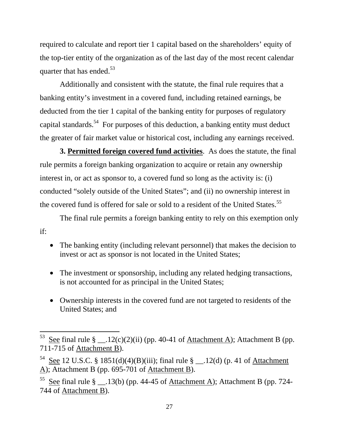quarter that has ended.<sup>53</sup> required to calculate and report tier 1 capital based on the shareholders' equity of the top-tier entity of the organization as of the last day of the most recent calendar

Additionally and consistent with the statute, the final rule requires that a banking entity's investment in a covered fund, including retained earnings, be deducted from the tier 1 capital of the banking entity for purposes of regulatory capital standards.<sup>54</sup> For purposes of this deduction, a banking entity must deduct the greater of fair market value or historical cost, including any earnings received.

the covered fund is offered for sale or sold to a resident of the United States.<sup>55</sup> **3. Permitted foreign covered fund activities**. As does the statute, the final rule permits a foreign banking organization to acquire or retain any ownership interest in, or act as sponsor to, a covered fund so long as the activity is: (i) conducted "solely outside of the United States"; and (ii) no ownership interest in

The final rule permits a foreign banking entity to rely on this exemption only if:

- •The banking entity (including relevant personnel) that makes the decision to invest or act as sponsor is not located in the United States;
- •The investment or sponsorship, including any related hedging transactions, is not accounted for as principal in the United States;
- •Ownership interests in the covered fund are not targeted to residents of the United States; and

<sup>&</sup>lt;sup>53</sup> See final rule § \_\_.12(c)(2)(ii) (pp. 40-41 of <u>Attachment A</u>); Attachment B (pp. 711-715 of Attachment B).

<sup>&</sup>lt;sup>54</sup> See 12 U.S.C. § 1851(d)(4)(B)(iii); final rule § \_\_.12(d) (p. 41 of <u>Attachment</u> A); Attachment B (pp. 695-701 of Attachment B).

<sup>&</sup>lt;sup>55</sup> See final rule § \_\_.13(b) (pp. 44-45 of Attachment A); Attachment B (pp. 724-744 of Attachment B).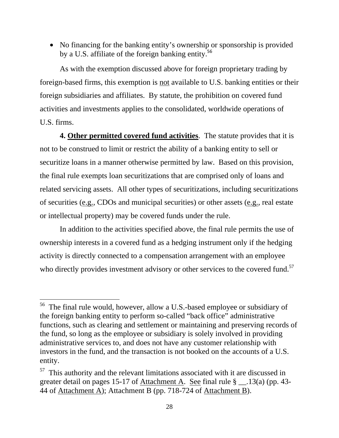• No financing for the banking entity's ownership or sponsorship is provided by a U.S. affiliate of the foreign banking entity.<sup>56</sup>

As with the exemption discussed above for foreign proprietary trading by foreign-based firms, this exemption is not available to U.S. banking entities or their foreign subsidiaries and affiliates. By statute, the prohibition on covered fund activities and investments applies to the consolidated, worldwide operations of U.S. firms.

**4. Other permitted covered fund activities**. The statute provides that it is not to be construed to limit or restrict the ability of a banking entity to sell or securitize loans in a manner otherwise permitted by law. Based on this provision, the final rule exempts loan securitizations that are comprised only of loans and related servicing assets. All other types of securitizations, including securitizations of securities (e.g., CDOs and municipal securities) or other assets (e.g., real estate or intellectual property) may be covered funds under the rule.

In addition to the activities specified above, the final rule permits the use of ownership interests in a covered fund as a hedging instrument only if the hedging activity is directly connected to a compensation arrangement with an employee who directly provides investment advisory or other services to the covered fund.<sup>57</sup>

<sup>56</sup> The final rule would, however, allow a U.S.-based employee or subsidiary of the foreign banking entity to perform so-called "back office" administrative functions, such as clearing and settlement or maintaining and preserving records of the fund, so long as the employee or subsidiary is solely involved in providing administrative services to, and does not have any customer relationship with investors in the fund, and the transaction is not booked on the accounts of a U.S. entity.

 $57$  This authority and the relevant limitations associated with it are discussed in greater detail on pages 15-17 of Attachment A. See final rule § \_\_.13(a) (pp. 43- 44 of Attachment A); Attachment B (pp. 718-724 of Attachment B).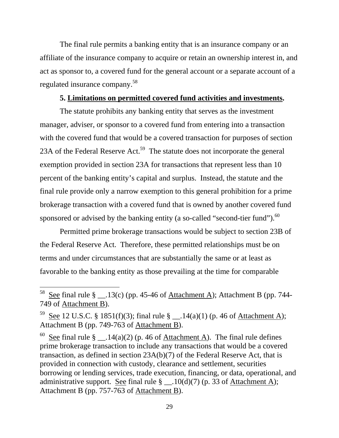The final rule permits a banking entity that is an insurance company or an affiliate of the insurance company to acquire or retain an ownership interest in, and act as sponsor to, a covered fund for the general account or a separate account of a regulated insurance company.<sup>58</sup>

## **5. Limitations on permitted covered fund activities and investments.**

sponsored or advised by the banking entity (a so-called "second-tier fund"). $^{60}$ The statute prohibits any banking entity that serves as the investment manager, adviser, or sponsor to a covered fund from entering into a transaction with the covered fund that would be a covered transaction for purposes of section 23A of the Federal Reserve Act.<sup>59</sup> The statute does not incorporate the general exemption provided in section 23A for transactions that represent less than 10 percent of the banking entity's capital and surplus. Instead, the statute and the final rule provide only a narrow exemption to this general prohibition for a prime brokerage transaction with a covered fund that is owned by another covered fund

Permitted prime brokerage transactions would be subject to section 23B of the Federal Reserve Act. Therefore, these permitted relationships must be on terms and under circumstances that are substantially the same or at least as favorable to the banking entity as those prevailing at the time for comparable

 $\overline{a}$ 

See final rule  $\S$  \_\_.14(a)(2) (p. 46 of Attachment A). The final rule defines prime brokerage transaction to include any transactions that would be a covered transaction, as defined in section 23A(b)(7) of the Federal Reserve Act, that is provided in connection with custody, clearance and settlement, securities borrowing or lending services, trade execution, financing, or data, operational, and administrative support. See final rule  $\S$  \_\_.10(d)(7) (p. 33 of Attachment A); Attachment B (pp. 757-763 of Attachment B).

<sup>&</sup>lt;sup>58</sup> See final rule § \_\_.13(c) (pp. 45-46 of <u>Attachment A</u>); Attachment B (pp. 744-749 of Attachment B).

<sup>&</sup>lt;sup>59</sup> See 12 U.S.C. § 1851(f)(3); final rule § \_\_.14(a)(1) (p. 46 of Attachment A); Attachment B (pp. 749-763 of Attachment B).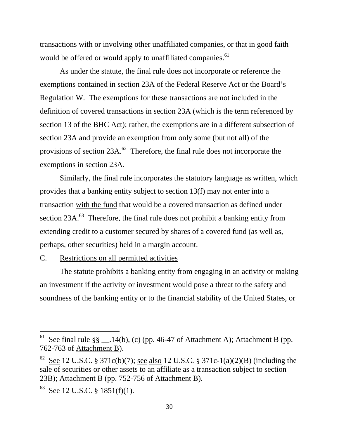transactions with or involving other unaffiliated companies, or that in good faith would be offered or would apply to unaffiliated companies.<sup>61</sup>

As under the statute, the final rule does not incorporate or reference the exemptions contained in section 23A of the Federal Reserve Act or the Board's Regulation W. The exemptions for these transactions are not included in the definition of covered transactions in section 23A (which is the term referenced by section 13 of the BHC Act); rather, the exemptions are in a different subsection of section 23A and provide an exemption from only some (but not all) of the provisions of section  $23A$ <sup>62</sup>. Therefore, the final rule does not incorporate the exemptions in section 23A.

Similarly, the final rule incorporates the statutory language as written, which provides that a banking entity subject to section 13(f) may not enter into a transaction with the fund that would be a covered transaction as defined under section  $23A$ <sup>63</sup>. Therefore, the final rule does not prohibit a banking entity from extending credit to a customer secured by shares of a covered fund (as well as, perhaps, other securities) held in a margin account.

#### C. Restrictions on all permitted activities

The statute prohibits a banking entity from engaging in an activity or making an investment if the activity or investment would pose a threat to the safety and soundness of the banking entity or to the financial stability of the United States, or

<sup>&</sup>lt;sup>61</sup> See final rule §§ \_\_\_.14(b), (c) (pp. 46-47 of Attachment A); Attachment B (pp. 762-763 of Attachment B).

<sup>&</sup>lt;sup>62</sup> See 12 U.S.C. § 371c(b)(7); <u>see also</u> 12 U.S.C. § 371c-1(a)(2)(B) (including the sale of securities or other assets to an affiliate as a transaction subject to section 23B); Attachment B (pp. 752-756 of Attachment B).

 $63$  See 12 U.S.C. § 1851(f)(1).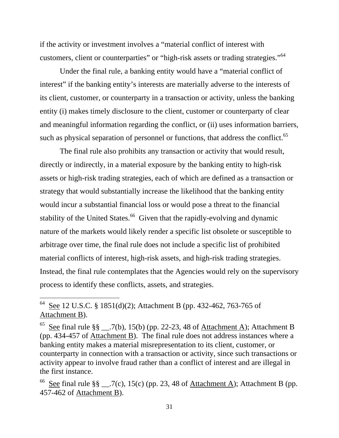customers, client or counterparties" or "high-risk assets or trading strategies."<sup>64</sup> if the activity or investment involves a "material conflict of interest with

such as physical separation of personnel or functions, that address the conflict.<sup>65</sup> Under the final rule, a banking entity would have a "material conflict of interest" if the banking entity's interests are materially adverse to the interests of its client, customer, or counterparty in a transaction or activity, unless the banking entity (i) makes timely disclosure to the client, customer or counterparty of clear and meaningful information regarding the conflict, or (ii) uses information barriers,

The final rule also prohibits any transaction or activity that would result, directly or indirectly, in a material exposure by the banking entity to high-risk assets or high-risk trading strategies, each of which are defined as a transaction or strategy that would substantially increase the likelihood that the banking entity would incur a substantial financial loss or would pose a threat to the financial stability of the United States.<sup>66</sup> Given that the rapidly-evolving and dynamic nature of the markets would likely render a specific list obsolete or susceptible to arbitrage over time, the final rule does not include a specific list of prohibited material conflicts of interest, high-risk assets, and high-risk trading strategies. Instead, the final rule contemplates that the Agencies would rely on the supervisory process to identify these conflicts, assets, and strategies.

<sup>&</sup>lt;sup>64</sup> See 12 U.S.C. § 1851(d)(2); Attachment B (pp. 432-462, 763-765 of Attachment B).

<sup>&</sup>lt;sup>65</sup> See final rule §§ \_\_.7(b), 15(b) (pp. 22-23, 48 of <u>Attachment A</u>); Attachment B (pp. 434-457 of Attachment B). The final rule does not address instances where a banking entity makes a material misrepresentation to its client, customer, or counterparty in connection with a transaction or activity, since such transactions or activity appear to involve fraud rather than a conflict of interest and are illegal in the first instance.

<sup>&</sup>lt;sup>66</sup> See final rule §§ \_\_.7(c), 15(c) (pp. 23, 48 of <u>Attachment A</u>); Attachment B (pp. 457-462 of Attachment B).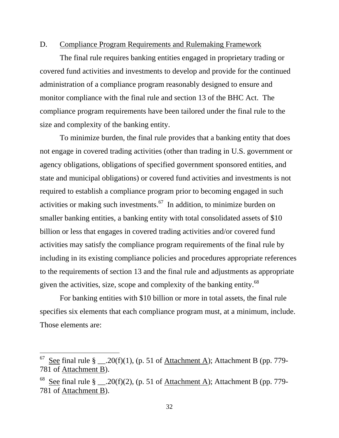#### D. Compliance Program Requirements and Rulemaking Framework

The final rule requires banking entities engaged in proprietary trading or covered fund activities and investments to develop and provide for the continued administration of a compliance program reasonably designed to ensure and monitor compliance with the final rule and section 13 of the BHC Act. The compliance program requirements have been tailored under the final rule to the size and complexity of the banking entity.

To minimize burden, the final rule provides that a banking entity that does not engage in covered trading activities (other than trading in U.S. government or agency obligations, obligations of specified government sponsored entities, and state and municipal obligations) or covered fund activities and investments is not required to establish a compliance program prior to becoming engaged in such activities or making such investments. $67$  In addition, to minimize burden on smaller banking entities, a banking entity with total consolidated assets of \$10 billion or less that engages in covered trading activities and/or covered fund activities may satisfy the compliance program requirements of the final rule by including in its existing compliance policies and procedures appropriate references to the requirements of section 13 and the final rule and adjustments as appropriate given the activities, size, scope and complexity of the banking entity.<sup>68</sup>

For banking entities with \$10 billion or more in total assets, the final rule specifies six elements that each compliance program must, at a minimum, include. Those elements are:

 $^{67}$  See final rule § \_\_.20(f)(1), (p. 51 of <u>Attachment A</u>); Attachment B (pp. 779-781 of Attachment B).

<sup>&</sup>lt;sup>68</sup> See final rule § \_\_.20(f)(2), (p. 51 of Attachment A); Attachment B (pp. 779-781 of Attachment B).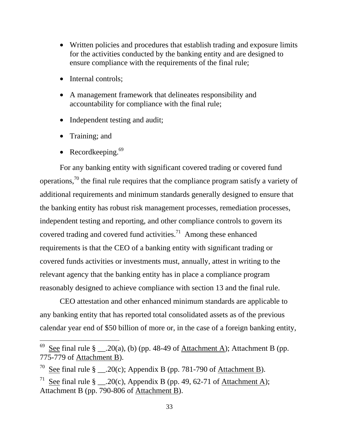- •Written policies and procedures that establish trading and exposure limits for the activities conducted by the banking entity and are designed to ensure compliance with the requirements of the final rule;
- Internal controls;
- •A management framework that delineates responsibility and accountability for compliance with the final rule;
- Independent testing and audit;
- Training; and

 $\overline{a}$ 

• Recordkeeping. $69$ 

For any banking entity with significant covered trading or covered fund operations,<sup>70</sup> the final rule requires that the compliance program satisfy a variety of additional requirements and minimum standards generally designed to ensure that the banking entity has robust risk management processes, remediation processes, independent testing and reporting, and other compliance controls to govern its covered trading and covered fund activities.<sup>71</sup> Among these enhanced requirements is that the CEO of a banking entity with significant trading or covered funds activities or investments must, annually, attest in writing to the relevant agency that the banking entity has in place a compliance program reasonably designed to achieve compliance with section 13 and the final rule.

CEO attestation and other enhanced minimum standards are applicable to any banking entity that has reported total consolidated assets as of the previous calendar year end of \$50 billion of more or, in the case of a foreign banking entity,

See final rule  $\S$  \_\_\_.20(a), (b) (pp. 48-49 of Attachment A); Attachment B (pp. 775-779 of Attachment B).

<sup>&</sup>lt;sup>70</sup> See final rule § \_\_.20(c); Appendix B (pp. 781-790 of <u>Attachment B</u>).

<sup>&</sup>lt;sup>71</sup> See final rule § \_\_.20(c), Appendix B (pp. 49, 62-71 of Attachment A); Attachment B (pp. 790-806 of Attachment B).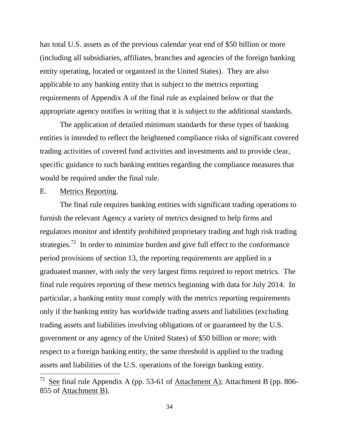has total U.S. assets as of the previous calendar year end of \$50 billion or more (including all subsidiaries, affiliates, branches and agencies of the foreign banking entity operating, located or organized in the United States). They are also applicable to any banking entity that is subject to the metrics reporting requirements of Appendix A of the final rule as explained below or that the appropriate agency notifies in writing that it is subject to the additional standards.

The application of detailed minimum standards for these types of banking entities is intended to reflect the heightened compliance risks of significant covered trading activities of covered fund activities and investments and to provide clear, specific guidance to such banking entities regarding the compliance measures that would be required under the final rule.

## E. Metrics Reporting.

 $\overline{a}$ 

The final rule requires banking entities with significant trading operations to furnish the relevant Agency a variety of metrics designed to help firms and regulators monitor and identify prohibited proprietary trading and high risk trading strategies.<sup>72</sup> In order to minimize burden and give full effect to the conformance period provisions of section 13, the reporting requirements are applied in a graduated manner, with only the very largest firms required to report metrics. The final rule requires reporting of these metrics beginning with data for July 2014. In particular, a banking entity must comply with the metrics reporting requirements only if the banking entity has worldwide trading assets and liabilities (excluding trading assets and liabilities involving obligations of or guaranteed by the U.S. government or any agency of the United States) of \$50 billion or more; with respect to a foreign banking entity, the same threshold is applied to the trading assets and liabilities of the U.S. operations of the foreign banking entity.

<sup>&</sup>lt;sup>72</sup> See final rule Appendix A (pp. 53-61 of <u>Attachment A</u>); Attachment B (pp. 806-855 of Attachment B).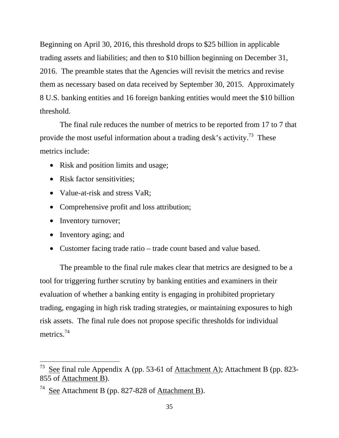Beginning on April 30, 2016, this threshold drops to \$25 billion in applicable trading assets and liabilities; and then to \$10 billion beginning on December 31, 2016. The preamble states that the Agencies will revisit the metrics and revise them as necessary based on data received by September 30, 2015. Approximately 8 U.S. banking entities and 16 foreign banking entities would meet the \$10 billion threshold.

The final rule reduces the number of metrics to be reported from 17 to 7 that provide the most useful information about a trading desk's activity.<sup>73</sup> These metrics include:

- Risk and position limits and usage;
- Risk factor sensitivities:
- Value-at-risk and stress VaR;
- Comprehensive profit and loss attribution;
- Inventory turnover;
- Inventory aging; and

 $\overline{a}$ 

• Customer facing trade ratio – trade count based and value based.

The preamble to the final rule makes clear that metrics are designed to be a tool for triggering further scrutiny by banking entities and examiners in their evaluation of whether a banking entity is engaging in prohibited proprietary trading, engaging in high risk trading strategies, or maintaining exposures to high risk assets. The final rule does not propose specific thresholds for individual metrics.<sup>74</sup>

<sup>&</sup>lt;sup>73</sup> See final rule Appendix A (pp. 53-61 of <u>Attachment A</u>); Attachment B (pp. 823-855 of Attachment B).

<sup>&</sup>lt;sup>74</sup> See Attachment B (pp. 827-828 of Attachment B).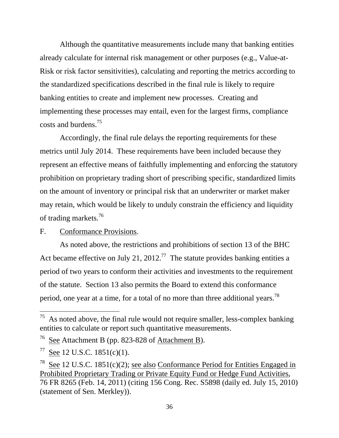Although the quantitative measurements include many that banking entities already calculate for internal risk management or other purposes (e.g., Value-at-Risk or risk factor sensitivities), calculating and reporting the metrics according to the standardized specifications described in the final rule is likely to require banking entities to create and implement new processes. Creating and implementing these processes may entail, even for the largest firms, compliance costs and burdens.75

Accordingly, the final rule delays the reporting requirements for these metrics until July 2014. These requirements have been included because they represent an effective means of faithfully implementing and enforcing the statutory prohibition on proprietary trading short of prescribing specific, standardized limits on the amount of inventory or principal risk that an underwriter or market maker may retain, which would be likely to unduly constrain the efficiency and liquidity of trading markets.<sup>76</sup>

#### F. Conformance Provisions.

period, one year at a time, for a total of no more than three additional years.<sup>78</sup> As noted above, the restrictions and prohibitions of section 13 of the BHC Act became effective on July 21, 2012.<sup>77</sup> The statute provides banking entities a period of two years to conform their activities and investments to the requirement of the statute. Section 13 also permits the Board to extend this conformance

 $75$  As noted above, the final rule would not require smaller, less-complex banking entities to calculate or report such quantitative measurements.

 $76$  See Attachment B (pp. 823-828 of Attachment B).

 $77$  See 12 U.S.C. 1851(c)(1).

<sup>&</sup>lt;sup>78</sup> See 12 U.S.C. 1851(c)(2); see also Conformance Period for Entities Engaged in Prohibited Proprietary Trading or Private Equity Fund or Hedge Fund Activities, 76 FR 8265 (Feb. 14, 2011) (citing 156 Cong. Rec. S5898 (daily ed. July 15, 2010) (statement of Sen. Merkley)).